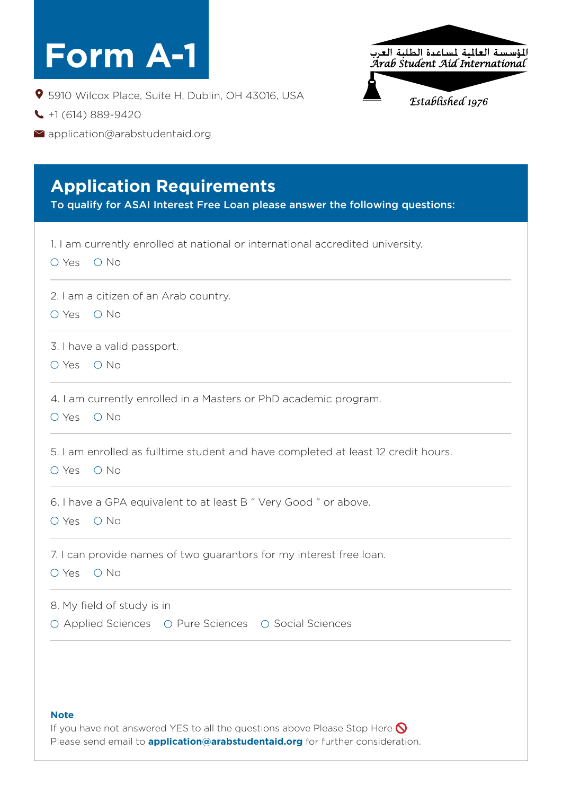# **Form A-1**

5910 Wilcox Place, Suite H, Dublin, OH 43016, USA

- $\bigcup$  +1 (614) 889-9420
- Mapplication@arabstudentaid.org

#### **Application Requirements**

To qualify for ASAI Interest Free Loan please answer the following questions:

| 1. I am currently enrolled at national or international accredited university.<br>$\bigcirc$ No<br>O Yes |
|----------------------------------------------------------------------------------------------------------|
| 2. I am a citizen of an Arab country.<br>$\bigcirc$ No<br>O Yes                                          |
| 3. I have a valid passport.<br>$\circ$ No<br>O Yes                                                       |
| 4. I am currently enrolled in a Masters or PhD academic program.<br>O Yes<br>$O$ No                      |
| 5. I am enrolled as fulltime student and have completed at least 12 credit hours.<br>$O$ No<br>O Yes     |
| 6. I have a GPA equivalent to at least B " Very Good " or above.<br>O Yes O No                           |
| 7. I can provide names of two guarantors for my interest free loan.<br>$O$ No<br>O Yes                   |
| 8. My field of study is in<br>○ Applied Sciences ○ Pure Sciences ○ Social Sciences                       |
|                                                                                                          |

#### **Note**

If you have not answered YES to all the questions above Please Stop Here  $\bigcirc$ Please send email to **application@arabstudentaid.org** for further consideration.

.<br>المؤسسة العالمية لمساعدة الطلبة العرب<br>Arab Student Aíd International

Established 1976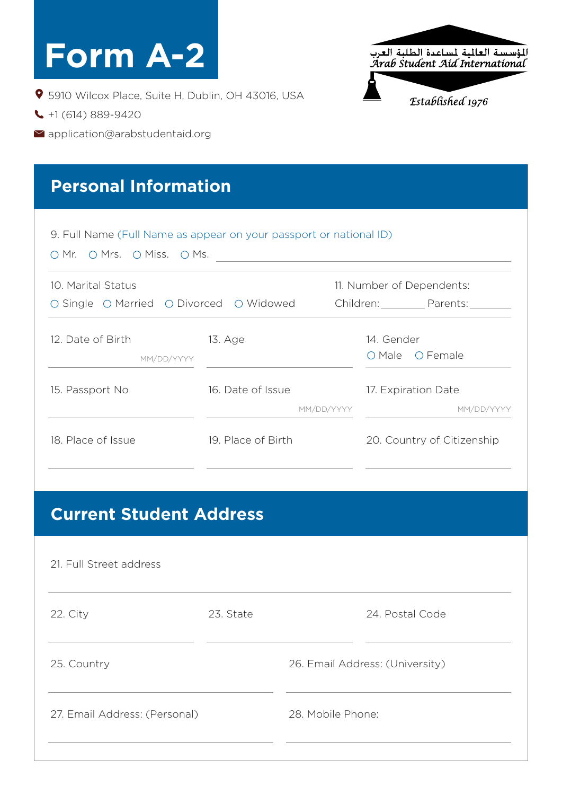| <b>Form A-2</b>                                                                                                                            |                                                                    |            |            | المؤسسة العالمية لمساعدة الطلبة العرب<br>Arab Student Aíd Internatíonal |
|--------------------------------------------------------------------------------------------------------------------------------------------|--------------------------------------------------------------------|------------|------------|-------------------------------------------------------------------------|
| 9 5910 Wilcox Place, Suite H, Dublin, OH 43016, USA<br>$\bigcup$ +1 (614) 889-9420<br>$\blacktriangleright$ application@arabstudentaid.org |                                                                    |            |            | Established 1976                                                        |
| <b>Personal Information</b>                                                                                                                |                                                                    |            |            |                                                                         |
|                                                                                                                                            | 9. Full Name (Full Name as appear on your passport or national ID) |            |            |                                                                         |
|                                                                                                                                            | O Mr. O Mrs. O Miss. O Ms.                                         |            |            | 11. Number of Dependents:                                               |
| MM/DD/YYYY                                                                                                                                 | 13. Age                                                            |            | 14. Gender | Children: Parents:<br>O Male O Female                                   |
| 10. Marital Status<br>○ Single ○ Married ○ Divorced ○ Widowed<br>12. Date of Birth<br>15. Passport No                                      | 16. Date of Issue                                                  | MM/DD/YYYY |            | 17. Expiration Date<br>MM/DD/YYYY                                       |

## **Current Student Address**

| 21. Full Street address       |           |                                 |  |  |  |
|-------------------------------|-----------|---------------------------------|--|--|--|
| 22. City                      | 23. State | 24. Postal Code                 |  |  |  |
| 25. Country                   |           | 26. Email Address: (University) |  |  |  |
| 27. Email Address: (Personal) |           | 28. Mobile Phone:               |  |  |  |
|                               |           |                                 |  |  |  |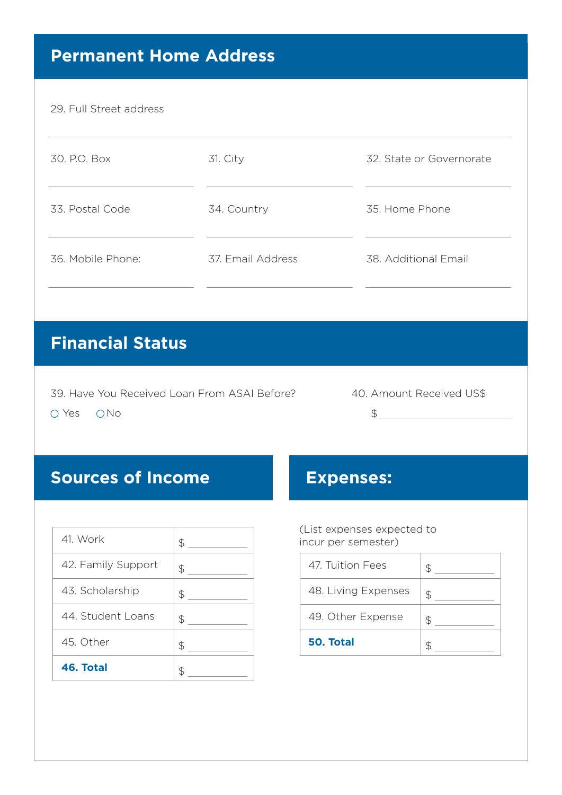#### **Permanent Home Address**

#### 29. Full Street address

| 30, P.O. Box      | 31. City          | 32. State or Governorate |
|-------------------|-------------------|--------------------------|
| 33. Postal Code   | 34. Country       | 35. Home Phone           |
| 36. Mobile Phone: | 37. Email Address | 38. Additional Email     |

#### **Financial Status**

39. Have You Received Loan From ASAI Before?

40. Amount Received US\$

 $\begin{picture}(20,20)(-0,0) \put(0,0){\line(1,0){10}} \put(15,0){\line(1,0){10}} \put(15,0){\line(1,0){10}} \put(15,0){\line(1,0){10}} \put(15,0){\line(1,0){10}} \put(15,0){\line(1,0){10}} \put(15,0){\line(1,0){10}} \put(15,0){\line(1,0){10}} \put(15,0){\line(1,0){10}} \put(15,0){\line(1,0){10}} \put(15,0){\line(1,0){10}} \put(15,0$ 

O Yes O No

#### **Sources of Income Expenses:**

| 46. Total          |    |
|--------------------|----|
| 45. Other          | \$ |
| 44. Student Loans  | \$ |
| 43. Scholarship    | \$ |
| 42. Family Support | \$ |
| 41. Work           | \$ |

(List expenses expected to incur per semester)

| \$ | 50. Total           |               |
|----|---------------------|---------------|
| \$ | 49. Other Expense   | $\mathcal{F}$ |
| \$ | 48. Living Expenses | $\mathcal{L}$ |
| \$ | 47. Tuition Fees    |               |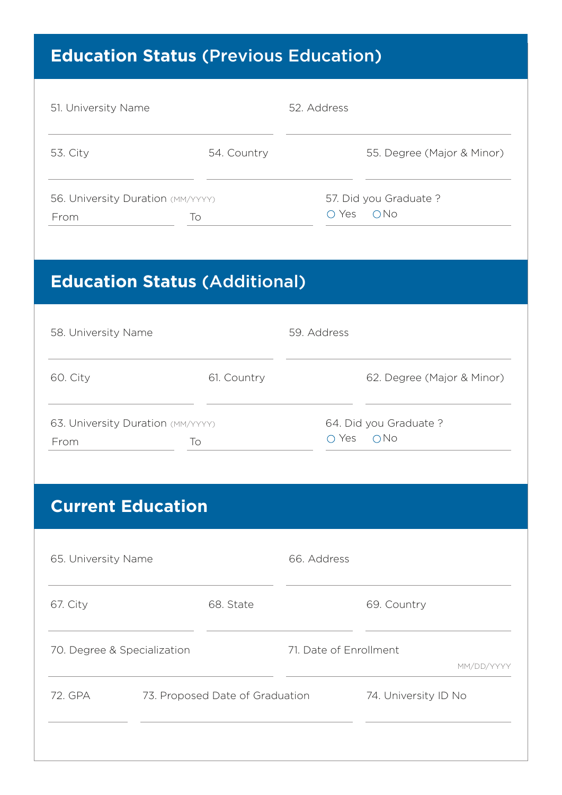# **Education Status** (Previous Education)

| 51. University Name                       |             | 52. Address                          |  |
|-------------------------------------------|-------------|--------------------------------------|--|
| 53. City                                  | 54. Country | 55. Degree (Major & Minor)           |  |
| 56. University Duration (MM/YYYY)<br>From | To          | 57. Did you Graduate?<br>ONO<br>Yes. |  |

## **Education Status** (Additional)

| 58. University Name                             |             | 59. Address                            |  |
|-------------------------------------------------|-------------|----------------------------------------|--|
| 60. City                                        | 61. Country | 62. Degree (Major & Minor)             |  |
| 63. University Duration (MM/YYYY)<br>To<br>From |             | 64. Did you Graduate?<br>0 No<br>O Yes |  |

#### **Current Education**

| 65. University Name         |  | 66. Address                     |                        |                      |            |
|-----------------------------|--|---------------------------------|------------------------|----------------------|------------|
| 67. City                    |  | 68. State                       |                        | 69. Country          |            |
| 70. Degree & Specialization |  |                                 | 71. Date of Enrollment |                      | MM/DD/YYYY |
| 72. GPA                     |  | 73. Proposed Date of Graduation |                        | 74. University ID No |            |
|                             |  |                                 |                        |                      |            |